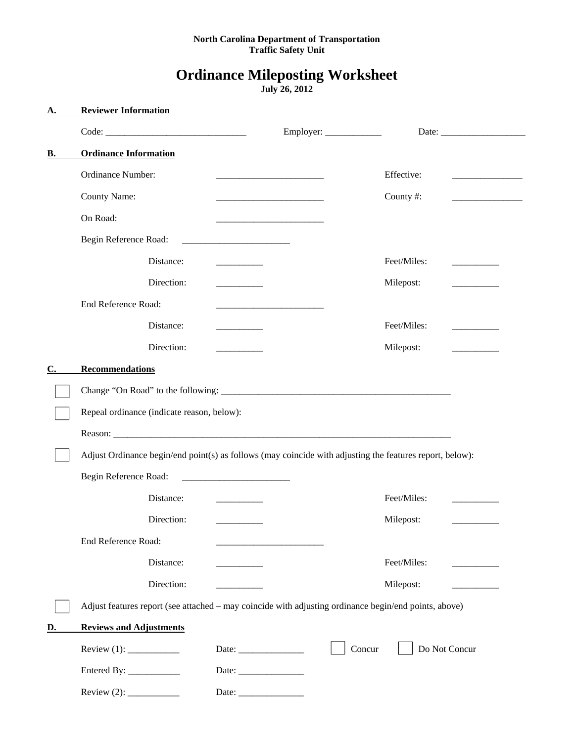### **North Carolina Department of Transportation Traffic Safety Unit**

# **Ordinance Mileposting Worksheet**

**July 26, 2012** 

| Α.             | <b>Reviewer Information</b>                                                                              |                                                                                                                       |             |                                                   |
|----------------|----------------------------------------------------------------------------------------------------------|-----------------------------------------------------------------------------------------------------------------------|-------------|---------------------------------------------------|
|                |                                                                                                          |                                                                                                                       |             |                                                   |
| В.             | <b>Ordinance Information</b>                                                                             |                                                                                                                       |             |                                                   |
|                | Ordinance Number:                                                                                        |                                                                                                                       | Effective:  |                                                   |
|                | County Name:                                                                                             | <u> 1989 - Johann Barbara, martin da kasar Amerikaan kasar da</u>                                                     | County#:    | <u> 1989 - John Stone, amerikansk politiker (</u> |
|                | On Road:                                                                                                 |                                                                                                                       |             |                                                   |
|                | Begin Reference Road:                                                                                    | <u> 2000 - Jan James James Barnett, amerikansk politik (</u>                                                          |             |                                                   |
|                | Distance:                                                                                                |                                                                                                                       | Feet/Miles: |                                                   |
|                | Direction:                                                                                               | <u> 1989 - Jan Jawa Barat, prima provincia por la provincia de la provincia de la provincia de la provincia de la</u> | Milepost:   |                                                   |
|                | <b>End Reference Road:</b>                                                                               |                                                                                                                       |             |                                                   |
|                | Distance:                                                                                                |                                                                                                                       | Feet/Miles: |                                                   |
|                | Direction:                                                                                               |                                                                                                                       | Milepost:   |                                                   |
| $\mathbf{C}$ . | <b>Recommendations</b>                                                                                   |                                                                                                                       |             |                                                   |
|                | Repeal ordinance (indicate reason, below):                                                               |                                                                                                                       |             |                                                   |
|                |                                                                                                          |                                                                                                                       |             |                                                   |
|                |                                                                                                          |                                                                                                                       |             |                                                   |
|                | Adjust Ordinance begin/end point(s) as follows (may coincide with adjusting the features report, below): |                                                                                                                       |             |                                                   |
|                | Begin Reference Road:                                                                                    |                                                                                                                       |             |                                                   |
|                | Distance:                                                                                                | <u> 1989 - Andrea State</u>                                                                                           | Feet/Miles: |                                                   |
|                | Direction:                                                                                               |                                                                                                                       | Milepost:   |                                                   |
|                | End Reference Road:                                                                                      |                                                                                                                       |             |                                                   |
|                | Distance:                                                                                                | <u> 1989 - Johann John Barnson, amerikansk fotograf (</u>                                                             | Feet/Miles: |                                                   |
|                | Direction:                                                                                               |                                                                                                                       | Milepost:   |                                                   |
|                | Adjust features report (see attached - may coincide with adjusting ordinance begin/end points, above)    |                                                                                                                       |             |                                                   |
| D.             | <b>Reviews and Adjustments</b>                                                                           |                                                                                                                       |             |                                                   |
|                |                                                                                                          | Date:                                                                                                                 | Concur      | Do Not Concur                                     |
|                |                                                                                                          |                                                                                                                       |             |                                                   |
|                |                                                                                                          |                                                                                                                       |             |                                                   |